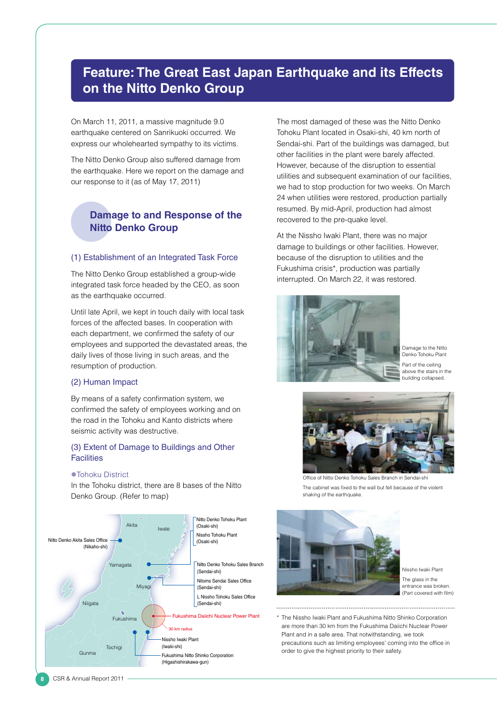# **Feature: The Great East Japan Earthquake and its Effects on the Nitto Denko Group**

On March 11, 2011, a massive magnitude 9.0 earthquake centered on Sanrikuoki occurred. We express our wholehearted sympathy to its victims.

The Nitto Denko Group also suffered damage from the earthquake. Here we report on the damage and our response to it (as of May 17, 2011)

# **Damage to and Response of the Nitto Denko Group**

### (1) Establishment of an Integrated Task Force

The Nitto Denko Group established a group-wide integrated task force headed by the CEO, as soon as the earthquake occurred.

Until late April, we kept in touch daily with local task forces of the affected bases. In cooperation with each department, we confirmed the safety of our employees and supported the devastated areas, the daily lives of those living in such areas, and the resumption of production.

## (2) Human Impact

By means of a safety confirmation system, we confirmed the safety of employees working and on the road in the Tohoku and Kanto districts where seismic activity was destructive.

# (3) Extent of Damage to Buildings and Other **Facilities**

#### ● Tohoku District

In the Tohoku district, there are 8 bases of the Nitto Denko Group. (Refer to map)



The most damaged of these was the Nitto Denko Tohoku Plant located in Osaki-shi, 40 km north of Sendai-shi. Part of the buildings was damaged, but other facilities in the plant were barely affected. However, because of the disruption to essential utilities and subsequent examination of our facilities, we had to stop production for two weeks. On March 24 when utilities were restored, production partially resumed. By mid-April, production had almost recovered to the pre-quake level.

At the Nissho Iwaki Plant, there was no major damage to buildings or other facilities. However, because of the disruption to utilities and the Fukushima crisis\*, production was partially interrupted. On March 22, it was restored.



Damage to the Nitto Denko Tohoku Plant Part of the ceiling above the stairs in the building collapsed.



Office of Nitto Denko Tohoku Sales Branch in Sendai-shi

The cabinet was fixed to the wall but fell because of the violent shaking of the earthquake.



Nissho Iwaki Plant The glass in the entrance was broken. (Part covered with film)

\* The Nissho Iwaki Plant and Fukushima Nitto Shinko Corporation are more than 30 km from the Fukushima Daiichi Nuclear Power Plant and in a safe area. That notwithstanding, we took precautions such as limiting employees' coming into the office in order to give the highest priority to their safety.